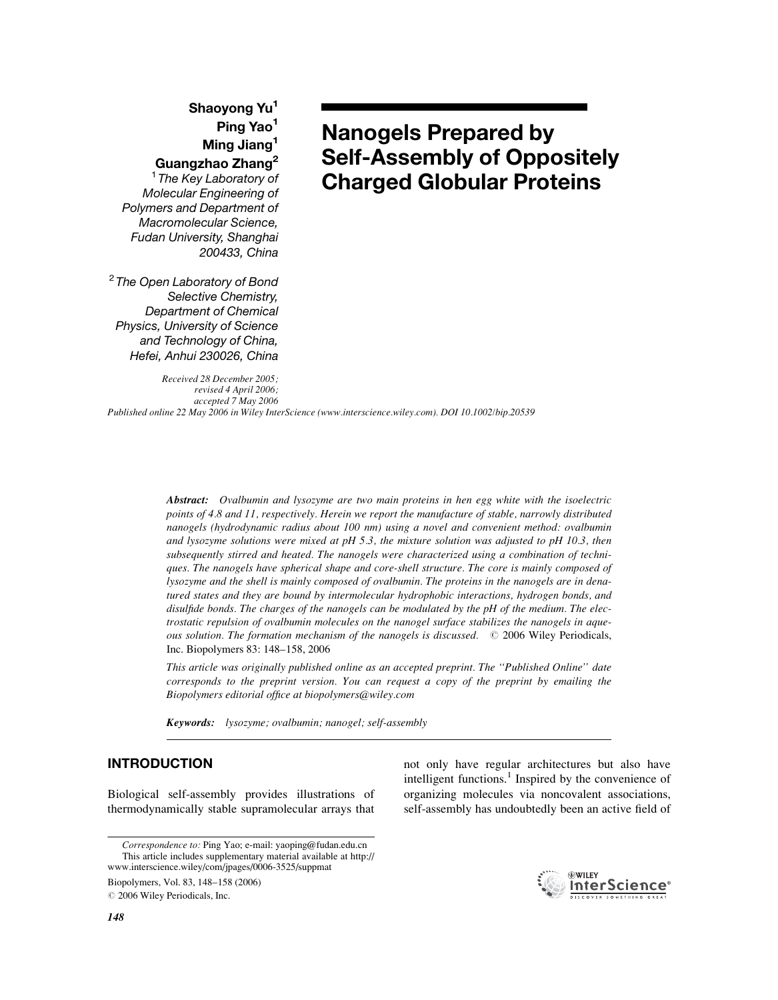# Shaoyong Yu<sup>1</sup> Ping Yao<sup>1</sup> Ming Jiang<sup>1</sup> Guangzhao Zhang<sup>2</sup>

<sup>1</sup> The Key Laboratory of Molecular Engineering of Polymers and Department of Macromolecular Science, Fudan University, Shanghai 200433, China

<sup>2</sup> The Open Laboratory of Bond Selective Chemistry, Department of Chemical Physics, University of Science and Technology of China, Hefei, Anhui 230026, China

Received 28 December 2005; revised 4 April 2006; accepted 7 May 2006

# Nanogels Prepared by Self-Assembly of Oppositely Charged Globular Proteins

Published online 22 May 2006 in Wiley InterScience (www.interscience.wiley.com). DOI 10.1002/bip.20539

Abstract: Ovalbumin and lysozyme are two main proteins in hen egg white with the isoelectric points of 4.8 and 11, respectively. Herein we report the manufacture of stable, narrowly distributed nanogels (hydrodynamic radius about 100 nm) using a novel and convenient method: ovalbumin and lysozyme solutions were mixed at pH  $5.3$ , the mixture solution was adjusted to pH 10.3, then subsequently stirred and heated. The nanogels were characterized using a combination of techniques. The nanogels have spherical shape and core-shell structure. The core is mainly composed of lysozyme and the shell is mainly composed of ovalbumin. The proteins in the nanogels are in denatured states and they are bound by intermolecular hydrophobic interactions, hydrogen bonds, and disulfide bonds. The charges of the nanogels can be modulated by the pH of the medium. The electrostatic repulsion of ovalbumin molecules on the nanogel surface stabilizes the nanogels in aqueous solution. The formation mechanism of the nanogels is discussed.  $\oslash$  2006 Wiley Periodicals, Inc. Biopolymers 83: 148–158, 2006

This article was originally published online as an accepted preprint. The ''Published Online'' date corresponds to the preprint version. You can request a copy of the preprint by emailing the Biopolymers editorial office at biopolymers@wiley.com

Keywords: lysozyme; ovalbumin; nanogel; self-assembly

# INTRODUCTION

Biological self-assembly provides illustrations of thermodynamically stable supramolecular arrays that

Biopolymers, Vol. 83, 148–158 (2006)

 $©$  2006 Wiley Periodicals, Inc.

not only have regular architectures but also have intelligent functions.<sup>1</sup> Inspired by the convenience of organizing molecules via noncovalent associations, self-assembly has undoubtedly been an active field of



Correspondence to: Ping Yao; e-mail: yaoping@fudan.edu.cn This article includes supplementary material available at http:// www.interscience.wiley/com/jpages/0006-3525/suppmat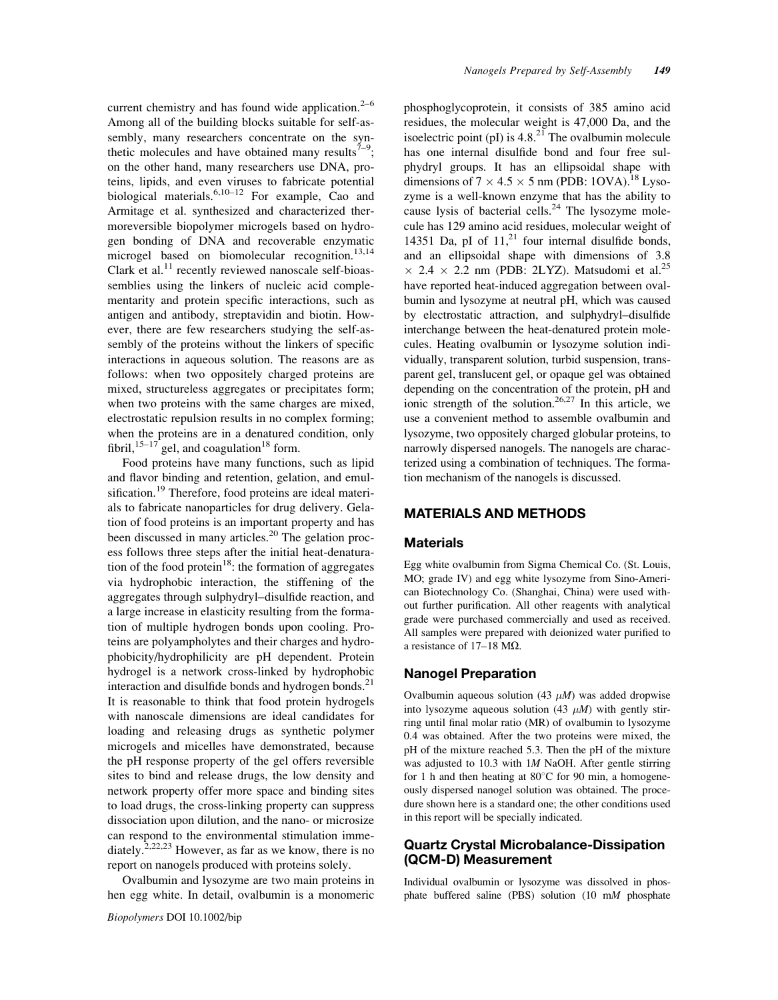current chemistry and has found wide application. $2-6$ Among all of the building blocks suitable for self-assembly, many researchers concentrate on the synthetic molecules and have obtained many results<sup>7-9</sup>; on the other hand, many researchers use DNA, proteins, lipids, and even viruses to fabricate potential biological materials.<sup>6,10–12</sup> For example, Cao and Armitage et al. synthesized and characterized thermoreversible biopolymer microgels based on hydrogen bonding of DNA and recoverable enzymatic microgel based on biomolecular recognition.<sup>13,14</sup> Clark et al.<sup>11</sup> recently reviewed nanoscale self-bioassemblies using the linkers of nucleic acid complementarity and protein specific interactions, such as antigen and antibody, streptavidin and biotin. However, there are few researchers studying the self-assembly of the proteins without the linkers of specific interactions in aqueous solution. The reasons are as follows: when two oppositely charged proteins are mixed, structureless aggregates or precipitates form; when two proteins with the same charges are mixed, electrostatic repulsion results in no complex forming; when the proteins are in a denatured condition, only fibril,  $15-17$  gel, and coagulation<sup>18</sup> form.

Food proteins have many functions, such as lipid and flavor binding and retention, gelation, and emulsification.<sup>19</sup> Therefore, food proteins are ideal materials to fabricate nanoparticles for drug delivery. Gelation of food proteins is an important property and has been discussed in many articles.<sup>20</sup> The gelation process follows three steps after the initial heat-denaturation of the food protein $18$ : the formation of aggregates via hydrophobic interaction, the stiffening of the aggregates through sulphydryl–disulfide reaction, and a large increase in elasticity resulting from the formation of multiple hydrogen bonds upon cooling. Proteins are polyampholytes and their charges and hydrophobicity/hydrophilicity are pH dependent. Protein hydrogel is a network cross-linked by hydrophobic interaction and disulfide bonds and hydrogen bonds. $^{21}$ It is reasonable to think that food protein hydrogels with nanoscale dimensions are ideal candidates for loading and releasing drugs as synthetic polymer microgels and micelles have demonstrated, because the pH response property of the gel offers reversible sites to bind and release drugs, the low density and network property offer more space and binding sites to load drugs, the cross-linking property can suppress dissociation upon dilution, and the nano- or microsize can respond to the environmental stimulation immediately.<sup>2,22,23</sup> However, as far as we know, there is no report on nanogels produced with proteins solely.

Ovalbumin and lysozyme are two main proteins in hen egg white. In detail, ovalbumin is a monomeric phosphoglycoprotein, it consists of 385 amino acid residues, the molecular weight is 47,000 Da, and the isoelectric point (pI) is  $4.8<sup>21</sup>$  The ovalbumin molecule has one internal disulfide bond and four free sulphydryl groups. It has an ellipsoidal shape with dimensions of  $7 \times 4.5 \times 5$  nm (PDB: 1OVA).<sup>18</sup> Lysozyme is a well-known enzyme that has the ability to cause lysis of bacterial cells.<sup>24</sup> The lysozyme molecule has 129 amino acid residues, molecular weight of 14351 Da, pI of  $11<sup>21</sup>$  four internal disulfide bonds, and an ellipsoidal shape with dimensions of 3.8  $\times$  2.4  $\times$  2.2 nm (PDB: 2LYZ). Matsudomi et al.<sup>25</sup> have reported heat-induced aggregation between ovalbumin and lysozyme at neutral pH, which was caused by electrostatic attraction, and sulphydryl–disulfide interchange between the heat-denatured protein molecules. Heating ovalbumin or lysozyme solution individually, transparent solution, turbid suspension, transparent gel, translucent gel, or opaque gel was obtained depending on the concentration of the protein, pH and ionic strength of the solution.<sup>26,27</sup> In this article, we use a convenient method to assemble ovalbumin and lysozyme, two oppositely charged globular proteins, to narrowly dispersed nanogels. The nanogels are characterized using a combination of techniques. The formation mechanism of the nanogels is discussed.

#### MATERIALS AND METHODS

#### **Materials**

Egg white ovalbumin from Sigma Chemical Co. (St. Louis, MO; grade IV) and egg white lysozyme from Sino-American Biotechnology Co. (Shanghai, China) were used without further purification. All other reagents with analytical grade were purchased commercially and used as received. All samples were prepared with deionized water purified to a resistance of  $17-18$  M $\Omega$ .

#### Nanogel Preparation

Ovalbumin aqueous solution (43  $\mu$ M) was added dropwise into lysozyme aqueous solution (43  $\mu$ M) with gently stirring until final molar ratio (MR) of ovalbumin to lysozyme 0.4 was obtained. After the two proteins were mixed, the pH of the mixture reached 5.3. Then the pH of the mixture was adjusted to 10.3 with 1*M* NaOH. After gentle stirring for 1 h and then heating at  $80^{\circ}$ C for 90 min, a homogeneously dispersed nanogel solution was obtained. The procedure shown here is a standard one; the other conditions used in this report will be specially indicated.

#### Quartz Crystal Microbalance-Dissipation (QCM-D) Measurement

Individual ovalbumin or lysozyme was dissolved in phosphate buffered saline (PBS) solution (10 mM phosphate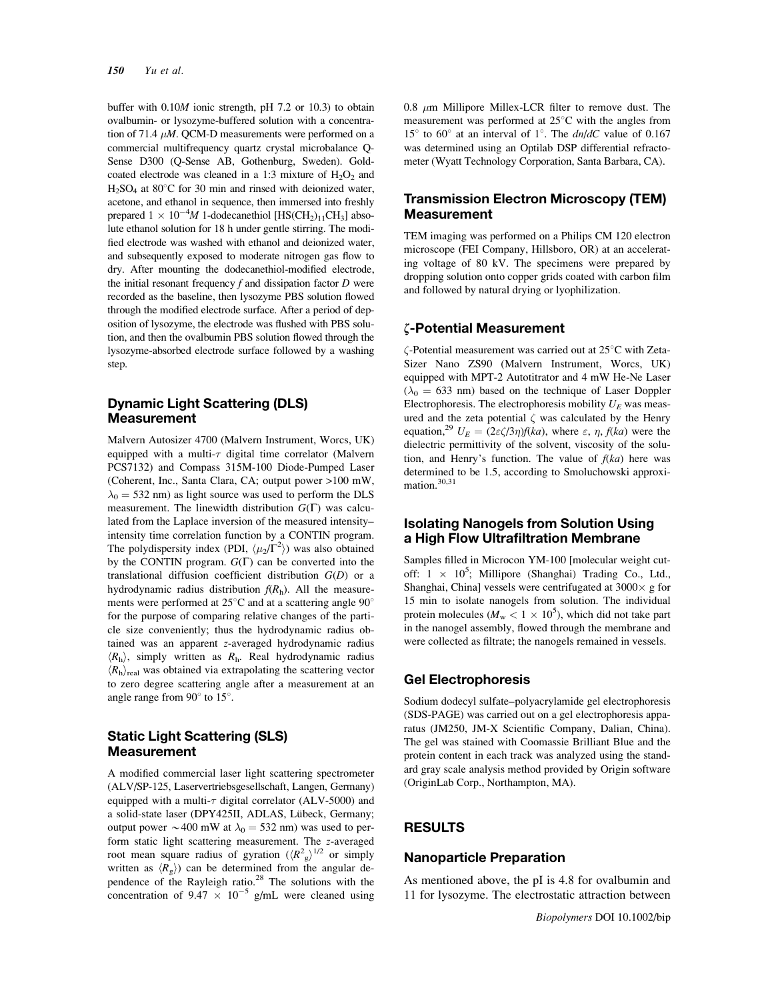buffer with 0.10M ionic strength, pH 7.2 or 10.3) to obtain ovalbumin- or lysozyme-buffered solution with a concentration of 71.4  $\mu$ M. QCM-D measurements were performed on a commercial multifrequency quartz crystal microbalance Q-Sense D300 (Q-Sense AB, Gothenburg, Sweden). Goldcoated electrode was cleaned in a 1:3 mixture of  $H_2O_2$  and  $H<sub>2</sub>SO<sub>4</sub>$  at 80°C for 30 min and rinsed with deionized water, acetone, and ethanol in sequence, then immersed into freshly prepared  $1 \times 10^{-4} M$  1-dodecanethiol [HS(CH<sub>2</sub>)<sub>11</sub>CH<sub>3</sub>] absolute ethanol solution for 18 h under gentle stirring. The modified electrode was washed with ethanol and deionized water, and subsequently exposed to moderate nitrogen gas flow to dry. After mounting the dodecanethiol-modified electrode, the initial resonant frequency  $f$  and dissipation factor  $D$  were recorded as the baseline, then lysozyme PBS solution flowed through the modified electrode surface. After a period of deposition of lysozyme, the electrode was flushed with PBS solution, and then the ovalbumin PBS solution flowed through the lysozyme-absorbed electrode surface followed by a washing step.

#### Dynamic Light Scattering (DLS) Measurement

Malvern Autosizer 4700 (Malvern Instrument, Worcs, UK) equipped with a multi- $\tau$  digital time correlator (Malvern PCS7132) and Compass 315M-100 Diode-Pumped Laser (Coherent, Inc., Santa Clara, CA; output power >100 mW,  $\lambda_0$  = 532 nm) as light source was used to perform the DLS measurement. The linewidth distribution  $G(\Gamma)$  was calculated from the Laplace inversion of the measured intensity– intensity time correlation function by a CONTIN program. The polydispersity index (PDI,  $\langle \mu_2/\Gamma^2 \rangle$ ) was also obtained by the CONTIN program.  $G(\Gamma)$  can be converted into the translational diffusion coefficient distribution  $G(D)$  or a hydrodynamic radius distribution  $f(R<sub>h</sub>)$ . All the measurements were performed at  $25^{\circ}$ C and at a scattering angle  $90^{\circ}$ for the purpose of comparing relative changes of the particle size conveniently; thus the hydrodynamic radius obtained was an apparent z-averaged hydrodynamic radius  $\langle R_{\rm h} \rangle$ , simply written as  $R_{\rm h}$ . Real hydrodynamic radius  $\langle R_{\rm h} \rangle_{\rm real}$  was obtained via extrapolating the scattering vector to zero degree scattering angle after a measurement at an angle range from  $90^\circ$  to  $15^\circ$ .

### Static Light Scattering (SLS) Measurement

A modified commercial laser light scattering spectrometer (ALV/SP-125, Laservertriebsgesellschaft, Langen, Germany) equipped with a multi- $\tau$  digital correlator (ALV-5000) and a solid-state laser (DPY425II, ADLAS, Lübeck, Germany; output power  $\sim$  400 mW at  $\lambda_0 = 532$  nm) was used to perform static light scattering measurement. The z-averaged root mean square radius of gyration  $(\langle R^2_g \rangle^{1/2}$  or simply written as  $\langle R_{\rm g} \rangle$  can be determined from the angular dependence of the Rayleigh ratio.<sup>28</sup> The solutions with the concentration of  $9.47 \times 10^{-5}$  g/mL were cleaned using

0.8  $\mu$ m Millipore Millex-LCR filter to remove dust. The measurement was performed at  $25^{\circ}$ C with the angles from 15° to 60° at an interval of 1°. The  $dn/dC$  value of 0.167 was determined using an Optilab DSP differential refractometer (Wyatt Technology Corporation, Santa Barbara, CA).

## Transmission Electron Microscopy (TEM) **Measurement**

TEM imaging was performed on a Philips CM 120 electron microscope (FEI Company, Hillsboro, OR) at an accelerating voltage of 80 kV. The specimens were prepared by dropping solution onto copper grids coated with carbon film and followed by natural drying or lyophilization.

### f-Potential Measurement

 $\zeta$ -Potential measurement was carried out at 25 $\degree$ C with Zeta-Sizer Nano ZS90 (Malvern Instrument, Worcs, UK) equipped with MPT-2 Autotitrator and 4 mW He-Ne Laser  $(\lambda_0 = 633 \text{ nm})$  based on the technique of Laser Doppler Electrophoresis. The electrophoresis mobility  $U_F$  was measured and the zeta potential  $\zeta$  was calculated by the Henry equation,<sup>29</sup>  $U_E = (2\varepsilon \zeta/3\eta)f(ka)$ , where  $\varepsilon$ ,  $\eta$ ,  $f(ka)$  were the dielectric permittivity of the solvent, viscosity of the solution, and Henry's function. The value of  $f(ka)$  here was determined to be 1.5, according to Smoluchowski approximation.<sup>30,31</sup>

### Isolating Nanogels from Solution Using a High Flow Ultrafiltration Membrane

Samples filled in Microcon YM-100 [molecular weight cutoff:  $1 \times 10^5$ ; Millipore (Shanghai) Trading Co., Ltd., Shanghai, China] vessels were centrifugated at  $3000 \times g$  for 15 min to isolate nanogels from solution. The individual protein molecules ( $M_{\rm w}$  <  $1 \times 10^5$ ), which did not take part in the nanogel assembly, flowed through the membrane and were collected as filtrate; the nanogels remained in vessels.

#### Gel Electrophoresis

Sodium dodecyl sulfate–polyacrylamide gel electrophoresis (SDS-PAGE) was carried out on a gel electrophoresis apparatus (JM250, JM-X Scientific Company, Dalian, China). The gel was stained with Coomassie Brilliant Blue and the protein content in each track was analyzed using the standard gray scale analysis method provided by Origin software (OriginLab Corp., Northampton, MA).

### RESULTS

#### Nanoparticle Preparation

As mentioned above, the pI is 4.8 for ovalbumin and 11 for lysozyme. The electrostatic attraction between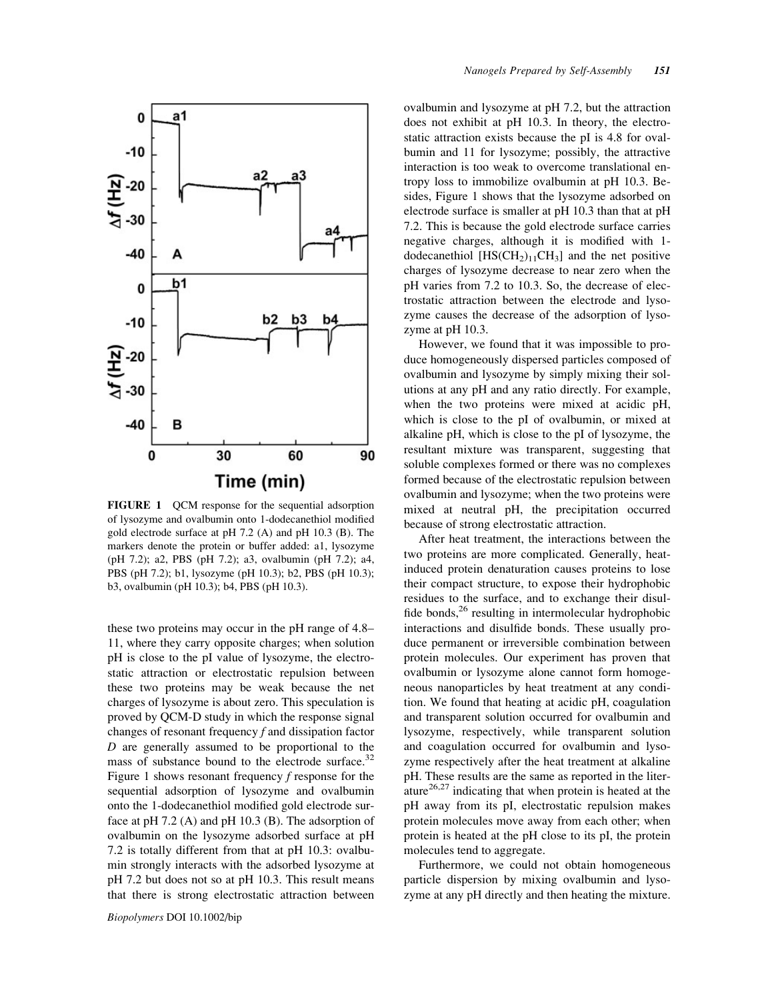

FIGURE 1 QCM response for the sequential adsorption of lysozyme and ovalbumin onto 1-dodecanethiol modified gold electrode surface at pH 7.2 (A) and pH 10.3 (B). The markers denote the protein or buffer added: a1, lysozyme (pH 7.2); a2, PBS (pH 7.2); a3, ovalbumin (pH 7.2); a4, PBS (pH 7.2); b1, lysozyme (pH 10.3); b2, PBS (pH 10.3); b3, ovalbumin (pH 10.3); b4, PBS (pH 10.3).

these two proteins may occur in the pH range of 4.8– 11, where they carry opposite charges; when solution pH is close to the pI value of lysozyme, the electrostatic attraction or electrostatic repulsion between these two proteins may be weak because the net charges of lysozyme is about zero. This speculation is proved by QCM-D study in which the response signal changes of resonant frequency  $f$  and dissipation factor D are generally assumed to be proportional to the mass of substance bound to the electrode surface. $32$ Figure 1 shows resonant frequency f response for the sequential adsorption of lysozyme and ovalbumin onto the 1-dodecanethiol modified gold electrode surface at pH 7.2 (A) and pH 10.3 (B). The adsorption of ovalbumin on the lysozyme adsorbed surface at pH 7.2 is totally different from that at pH 10.3: ovalbumin strongly interacts with the adsorbed lysozyme at pH 7.2 but does not so at pH 10.3. This result means that there is strong electrostatic attraction between

ovalbumin and lysozyme at pH 7.2, but the attraction does not exhibit at pH 10.3. In theory, the electrostatic attraction exists because the pI is 4.8 for ovalbumin and 11 for lysozyme; possibly, the attractive interaction is too weak to overcome translational entropy loss to immobilize ovalbumin at pH 10.3. Besides, Figure 1 shows that the lysozyme adsorbed on electrode surface is smaller at pH 10.3 than that at pH 7.2. This is because the gold electrode surface carries negative charges, although it is modified with 1 dodecanethiol  $[HS(CH_2)_{11}CH_3]$  and the net positive charges of lysozyme decrease to near zero when the pH varies from 7.2 to 10.3. So, the decrease of electrostatic attraction between the electrode and lysozyme causes the decrease of the adsorption of lysozyme at pH 10.3.

However, we found that it was impossible to produce homogeneously dispersed particles composed of ovalbumin and lysozyme by simply mixing their solutions at any pH and any ratio directly. For example, when the two proteins were mixed at acidic pH, which is close to the pI of ovalbumin, or mixed at alkaline pH, which is close to the pI of lysozyme, the resultant mixture was transparent, suggesting that soluble complexes formed or there was no complexes formed because of the electrostatic repulsion between ovalbumin and lysozyme; when the two proteins were mixed at neutral pH, the precipitation occurred because of strong electrostatic attraction.

After heat treatment, the interactions between the two proteins are more complicated. Generally, heatinduced protein denaturation causes proteins to lose their compact structure, to expose their hydrophobic residues to the surface, and to exchange their disulfide bonds,<sup>26</sup> resulting in intermolecular hydrophobic interactions and disulfide bonds. These usually produce permanent or irreversible combination between protein molecules. Our experiment has proven that ovalbumin or lysozyme alone cannot form homogeneous nanoparticles by heat treatment at any condition. We found that heating at acidic pH, coagulation and transparent solution occurred for ovalbumin and lysozyme, respectively, while transparent solution and coagulation occurred for ovalbumin and lysozyme respectively after the heat treatment at alkaline pH. These results are the same as reported in the literature $26,27$  indicating that when protein is heated at the pH away from its pI, electrostatic repulsion makes protein molecules move away from each other; when protein is heated at the pH close to its pI, the protein molecules tend to aggregate.

Furthermore, we could not obtain homogeneous particle dispersion by mixing ovalbumin and lysozyme at any pH directly and then heating the mixture.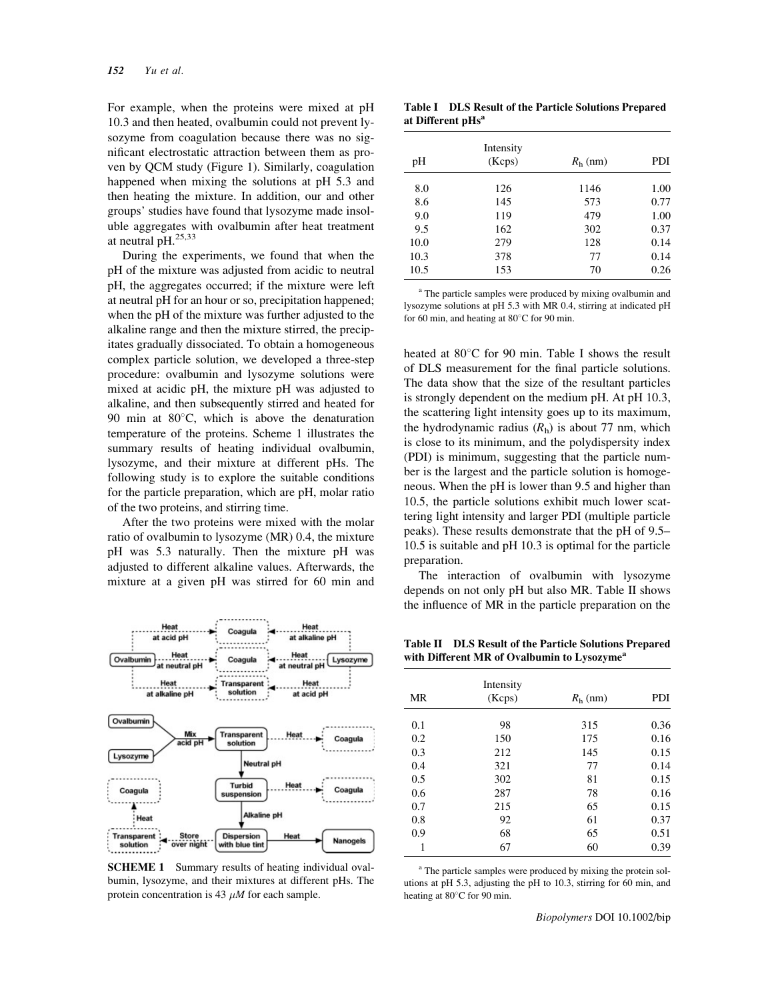For example, when the proteins were mixed at pH 10.3 and then heated, ovalbumin could not prevent lysozyme from coagulation because there was no significant electrostatic attraction between them as proven by QCM study (Figure 1). Similarly, coagulation happened when mixing the solutions at pH 5.3 and then heating the mixture. In addition, our and other groups' studies have found that lysozyme made insoluble aggregates with ovalbumin after heat treatment at neutral  $pH<sub>1</sub><sup>25,33</sup>$ 

During the experiments, we found that when the pH of the mixture was adjusted from acidic to neutral pH, the aggregates occurred; if the mixture were left at neutral pH for an hour or so, precipitation happened; when the pH of the mixture was further adjusted to the alkaline range and then the mixture stirred, the precipitates gradually dissociated. To obtain a homogeneous complex particle solution, we developed a three-step procedure: ovalbumin and lysozyme solutions were mixed at acidic pH, the mixture pH was adjusted to alkaline, and then subsequently stirred and heated for 90 min at  $80^{\circ}$ C, which is above the denaturation temperature of the proteins. Scheme 1 illustrates the summary results of heating individual ovalbumin, lysozyme, and their mixture at different pHs. The following study is to explore the suitable conditions for the particle preparation, which are pH, molar ratio of the two proteins, and stirring time.

After the two proteins were mixed with the molar ratio of ovalbumin to lysozyme (MR) 0.4, the mixture pH was 5.3 naturally. Then the mixture pH was adjusted to different alkaline values. Afterwards, the mixture at a given pH was stirred for 60 min and



SCHEME 1 Summary results of heating individual ovalbumin, lysozyme, and their mixtures at different pHs. The protein concentration is 43  $\mu$ M for each sample.

Table I DLS Result of the Particle Solutions Prepared at Different  $pHs<sup>a</sup>$ 

| pH   | Intensity<br>(Kcps) | $Rh$ (nm) | <b>PDI</b> |
|------|---------------------|-----------|------------|
| 8.0  | 126                 | 1146      | 1.00       |
| 8.6  | 145                 | 573       | 0.77       |
| 9.0  | 119                 | 479       | 1.00       |
| 9.5  | 162                 | 302       | 0.37       |
| 10.0 | 279                 | 128       | 0.14       |
| 10.3 | 378                 | 77        | 0.14       |
| 10.5 | 153                 | 70        | 0.26       |

<sup>a</sup> The particle samples were produced by mixing ovalbumin and lysozyme solutions at pH 5.3 with MR 0.4, stirring at indicated pH for 60 min, and heating at  $80^{\circ}$ C for 90 min.

heated at  $80^{\circ}$ C for 90 min. Table I shows the result of DLS measurement for the final particle solutions. The data show that the size of the resultant particles is strongly dependent on the medium pH. At pH 10.3, the scattering light intensity goes up to its maximum, the hydrodynamic radius  $(R_h)$  is about 77 nm, which is close to its minimum, and the polydispersity index (PDI) is minimum, suggesting that the particle number is the largest and the particle solution is homogeneous. When the pH is lower than 9.5 and higher than 10.5, the particle solutions exhibit much lower scattering light intensity and larger PDI (multiple particle peaks). These results demonstrate that the pH of 9.5– 10.5 is suitable and pH 10.3 is optimal for the particle preparation.

The interaction of ovalbumin with lysozyme depends on not only pH but also MR. Table II shows the influence of MR in the particle preparation on the

Table II DLS Result of the Particle Solutions Prepared with Different MR of Ovalbumin to Lysozyme<sup>a</sup>

| MR  | Intensity<br>(Kcps) | $R_{\rm h}$ (nm) | PDI  |
|-----|---------------------|------------------|------|
|     |                     |                  |      |
| 0.1 | 98                  | 315              | 0.36 |
| 0.2 | 150                 | 175              | 0.16 |
| 0.3 | 212                 | 145              | 0.15 |
| 0.4 | 321                 | 77               | 0.14 |
| 0.5 | 302                 | 81               | 0.15 |
| 0.6 | 287                 | 78               | 0.16 |
| 0.7 | 215                 | 65               | 0.15 |
| 0.8 | 92                  | 61               | 0.37 |
| 0.9 | 68                  | 65               | 0.51 |
| 1   | 67                  | 60               | 0.39 |

<sup>a</sup> The particle samples were produced by mixing the protein solutions at pH 5.3, adjusting the pH to 10.3, stirring for 60 min, and heating at  $80^{\circ}$ C for 90 min.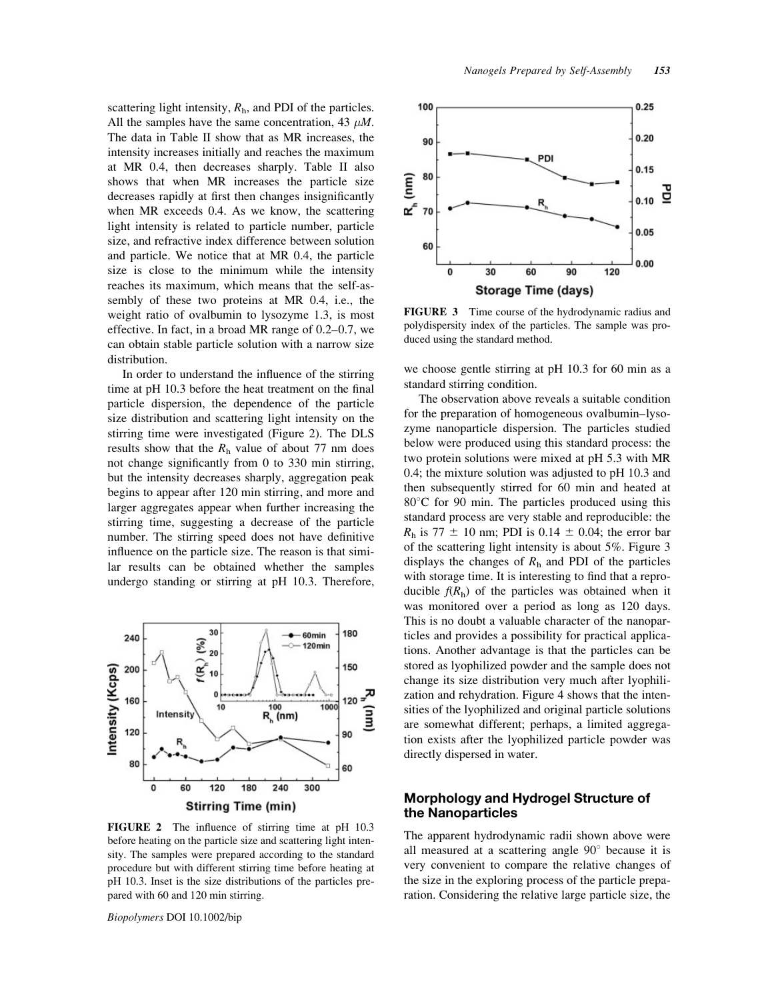scattering light intensity,  $R<sub>h</sub>$ , and PDI of the particles. All the samples have the same concentration, 43  $\mu$ M. The data in Table II show that as MR increases, the intensity increases initially and reaches the maximum at MR 0.4, then decreases sharply. Table II also shows that when MR increases the particle size decreases rapidly at first then changes insignificantly when MR exceeds 0.4. As we know, the scattering light intensity is related to particle number, particle size, and refractive index difference between solution and particle. We notice that at MR 0.4, the particle size is close to the minimum while the intensity reaches its maximum, which means that the self-assembly of these two proteins at MR 0.4, i.e., the weight ratio of ovalbumin to lysozyme 1.3, is most effective. In fact, in a broad MR range of 0.2–0.7, we can obtain stable particle solution with a narrow size distribution.

In order to understand the influence of the stirring time at pH 10.3 before the heat treatment on the final particle dispersion, the dependence of the particle size distribution and scattering light intensity on the stirring time were investigated (Figure 2). The DLS results show that the  $R_h$  value of about 77 nm does not change significantly from 0 to 330 min stirring, but the intensity decreases sharply, aggregation peak begins to appear after 120 min stirring, and more and larger aggregates appear when further increasing the stirring time, suggesting a decrease of the particle number. The stirring speed does not have definitive influence on the particle size. The reason is that similar results can be obtained whether the samples undergo standing or stirring at pH 10.3. Therefore,



FIGURE 2 The influence of stirring time at pH 10.3 before heating on the particle size and scattering light intensity. The samples were prepared according to the standard procedure but with different stirring time before heating at pH 10.3. Inset is the size distributions of the particles prepared with 60 and 120 min stirring.

Biopolymers DOI 10.1002/bip



FIGURE 3 Time course of the hydrodynamic radius and polydispersity index of the particles. The sample was produced using the standard method.

we choose gentle stirring at pH 10.3 for 60 min as a standard stirring condition.

The observation above reveals a suitable condition for the preparation of homogeneous ovalbumin–lysozyme nanoparticle dispersion. The particles studied below were produced using this standard process: the two protein solutions were mixed at pH 5.3 with MR 0.4; the mixture solution was adjusted to pH 10.3 and then subsequently stirred for 60 min and heated at  $80^{\circ}$ C for 90 min. The particles produced using this standard process are very stable and reproducible: the  $R_h$  is 77  $\pm$  10 nm; PDI is 0.14  $\pm$  0.04; the error bar of the scattering light intensity is about 5%. Figure 3 displays the changes of  $R_h$  and PDI of the particles with storage time. It is interesting to find that a reproducible  $f(R<sub>h</sub>)$  of the particles was obtained when it was monitored over a period as long as 120 days. This is no doubt a valuable character of the nanoparticles and provides a possibility for practical applications. Another advantage is that the particles can be stored as lyophilized powder and the sample does not change its size distribution very much after lyophilization and rehydration. Figure 4 shows that the intensities of the lyophilized and original particle solutions are somewhat different; perhaps, a limited aggregation exists after the lyophilized particle powder was directly dispersed in water.

# Morphology and Hydrogel Structure of the Nanoparticles

The apparent hydrodynamic radii shown above were all measured at a scattering angle  $90^\circ$  because it is very convenient to compare the relative changes of the size in the exploring process of the particle preparation. Considering the relative large particle size, the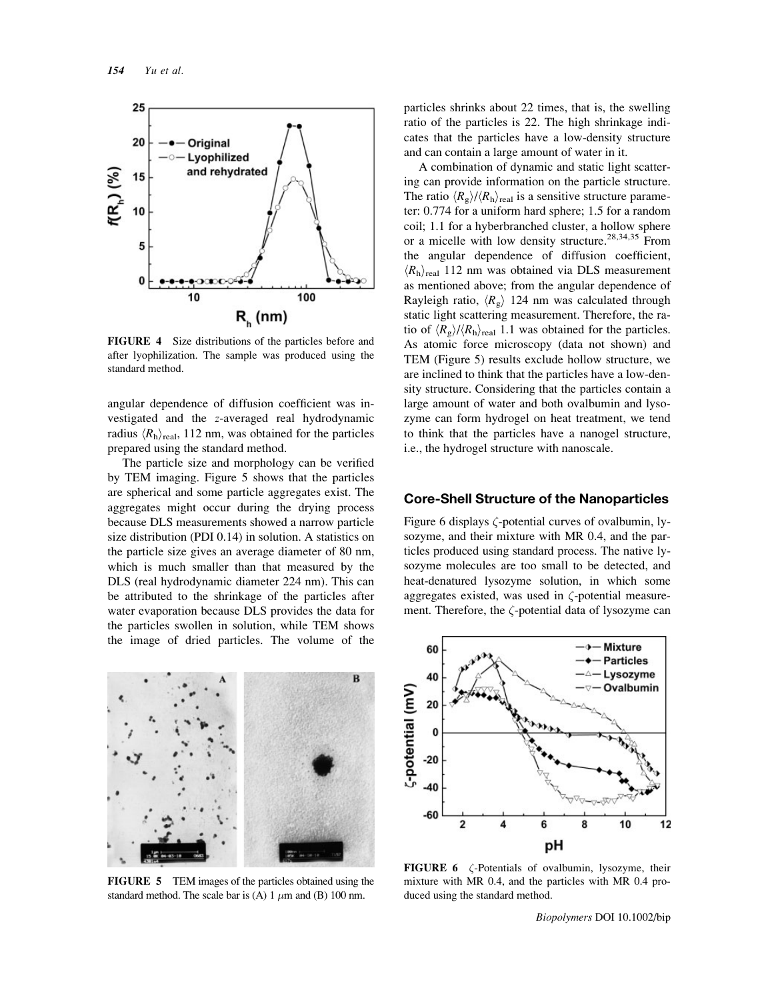

FIGURE 4 Size distributions of the particles before and after lyophilization. The sample was produced using the standard method.

angular dependence of diffusion coefficient was investigated and the z-averaged real hydrodynamic radius  $\langle R_{\rm h} \rangle_{\rm real}$ , 112 nm, was obtained for the particles prepared using the standard method.

The particle size and morphology can be verified by TEM imaging. Figure 5 shows that the particles are spherical and some particle aggregates exist. The aggregates might occur during the drying process because DLS measurements showed a narrow particle size distribution (PDI 0.14) in solution. A statistics on the particle size gives an average diameter of 80 nm, which is much smaller than that measured by the DLS (real hydrodynamic diameter 224 nm). This can be attributed to the shrinkage of the particles after water evaporation because DLS provides the data for the particles swollen in solution, while TEM shows the image of dried particles. The volume of the



FIGURE 5 TEM images of the particles obtained using the standard method. The scale bar is (A) 1  $\mu$ m and (B) 100 nm.

particles shrinks about 22 times, that is, the swelling ratio of the particles is 22. The high shrinkage indicates that the particles have a low-density structure and can contain a large amount of water in it.

A combination of dynamic and static light scattering can provide information on the particle structure. The ratio  $\langle R_{\rm g} \rangle / \langle R_{\rm h} \rangle_{\rm real}$  is a sensitive structure parameter: 0.774 for a uniform hard sphere; 1.5 for a random coil; 1.1 for a hyberbranched cluster, a hollow sphere or a micelle with low density structure.<sup>28,34,35</sup> From the angular dependence of diffusion coefficient,  $\langle R_{\rm h} \rangle_{\rm real}$  112 nm was obtained via DLS measurement as mentioned above; from the angular dependence of Rayleigh ratio,  $\langle R_g \rangle$  124 nm was calculated through static light scattering measurement. Therefore, the ratio of  $\langle R_g \rangle / \langle R_h \rangle_{\text{real}}$  1.1 was obtained for the particles. As atomic force microscopy (data not shown) and TEM (Figure 5) results exclude hollow structure, we are inclined to think that the particles have a low-density structure. Considering that the particles contain a large amount of water and both ovalbumin and lysozyme can form hydrogel on heat treatment, we tend to think that the particles have a nanogel structure, i.e., the hydrogel structure with nanoscale.

### Core-Shell Structure of the Nanoparticles

Figure 6 displays  $\zeta$ -potential curves of ovalbumin, lysozyme, and their mixture with MR 0.4, and the particles produced using standard process. The native lysozyme molecules are too small to be detected, and heat-denatured lysozyme solution, in which some aggregates existed, was used in  $\zeta$ -potential measurement. Therefore, the  $\zeta$ -potential data of lysozyme can



FIGURE 6  $\zeta$ -Potentials of ovalbumin, lysozyme, their mixture with MR 0.4, and the particles with MR 0.4 produced using the standard method.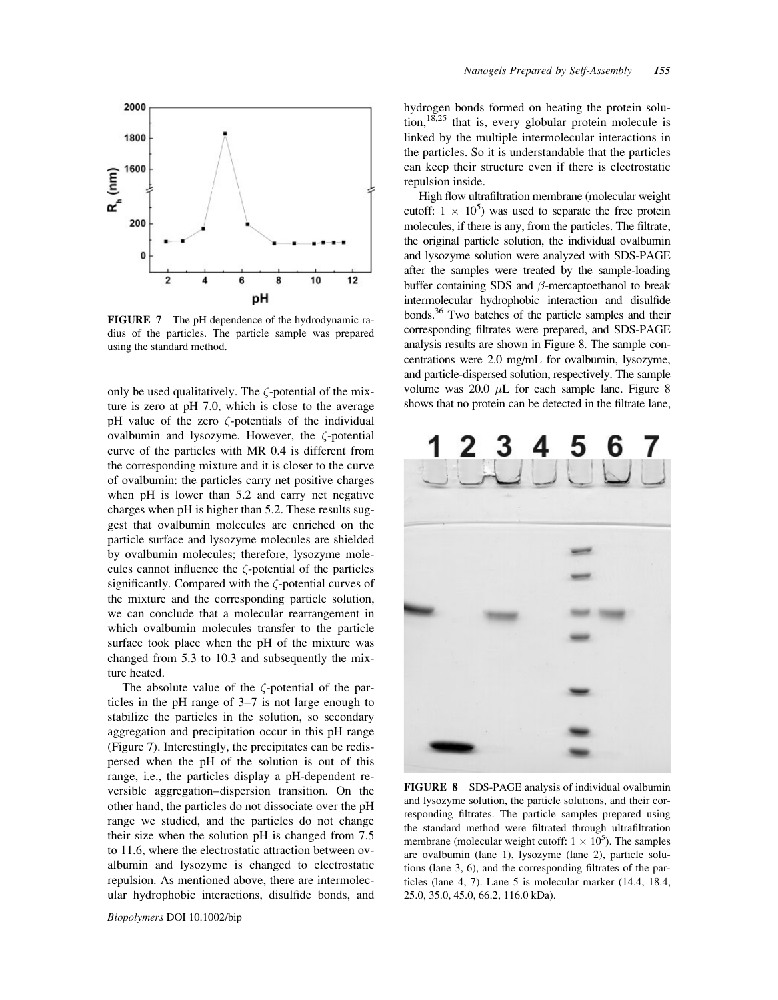

FIGURE 7 The pH dependence of the hydrodynamic radius of the particles. The particle sample was prepared using the standard method.

only be used qualitatively. The  $\zeta$ -potential of the mixture is zero at pH 7.0, which is close to the average  $pH$  value of the zero  $\zeta$ -potentials of the individual ovalbumin and lysozyme. However, the  $\zeta$ -potential curve of the particles with MR 0.4 is different from the corresponding mixture and it is closer to the curve of ovalbumin: the particles carry net positive charges when pH is lower than 5.2 and carry net negative charges when pH is higher than 5.2. These results suggest that ovalbumin molecules are enriched on the particle surface and lysozyme molecules are shielded by ovalbumin molecules; therefore, lysozyme molecules cannot influence the  $\zeta$ -potential of the particles significantly. Compared with the  $\zeta$ -potential curves of the mixture and the corresponding particle solution, we can conclude that a molecular rearrangement in which ovalbumin molecules transfer to the particle surface took place when the pH of the mixture was changed from 5.3 to 10.3 and subsequently the mixture heated.

The absolute value of the  $\zeta$ -potential of the particles in the pH range of 3–7 is not large enough to stabilize the particles in the solution, so secondary aggregation and precipitation occur in this pH range (Figure 7). Interestingly, the precipitates can be redispersed when the pH of the solution is out of this range, i.e., the particles display a pH-dependent reversible aggregation–dispersion transition. On the other hand, the particles do not dissociate over the pH range we studied, and the particles do not change their size when the solution pH is changed from 7.5 to 11.6, where the electrostatic attraction between ovalbumin and lysozyme is changed to electrostatic repulsion. As mentioned above, there are intermolecular hydrophobic interactions, disulfide bonds, and hydrogen bonds formed on heating the protein solution, $18,25$  that is, every globular protein molecule is linked by the multiple intermolecular interactions in the particles. So it is understandable that the particles can keep their structure even if there is electrostatic repulsion inside.

High flow ultrafiltration membrane (molecular weight cutoff:  $1 \times 10^5$ ) was used to separate the free protein molecules, if there is any, from the particles. The filtrate, the original particle solution, the individual ovalbumin and lysozyme solution were analyzed with SDS-PAGE after the samples were treated by the sample-loading buffer containing SDS and  $\beta$ -mercaptoethanol to break intermolecular hydrophobic interaction and disulfide bonds.<sup>36</sup> Two batches of the particle samples and their corresponding filtrates were prepared, and SDS-PAGE analysis results are shown in Figure 8. The sample concentrations were 2.0 mg/mL for ovalbumin, lysozyme, and particle-dispersed solution, respectively. The sample volume was 20.0  $\mu$ L for each sample lane. Figure 8 shows that no protein can be detected in the filtrate lane,



FIGURE 8 SDS-PAGE analysis of individual ovalbumin and lysozyme solution, the particle solutions, and their corresponding filtrates. The particle samples prepared using the standard method were filtrated through ultrafiltration membrane (molecular weight cutoff:  $1 \times 10^5$ ). The samples are ovalbumin (lane 1), lysozyme (lane 2), particle solutions (lane 3, 6), and the corresponding filtrates of the particles (lane 4, 7). Lane 5 is molecular marker (14.4, 18.4, 25.0, 35.0, 45.0, 66.2, 116.0 kDa).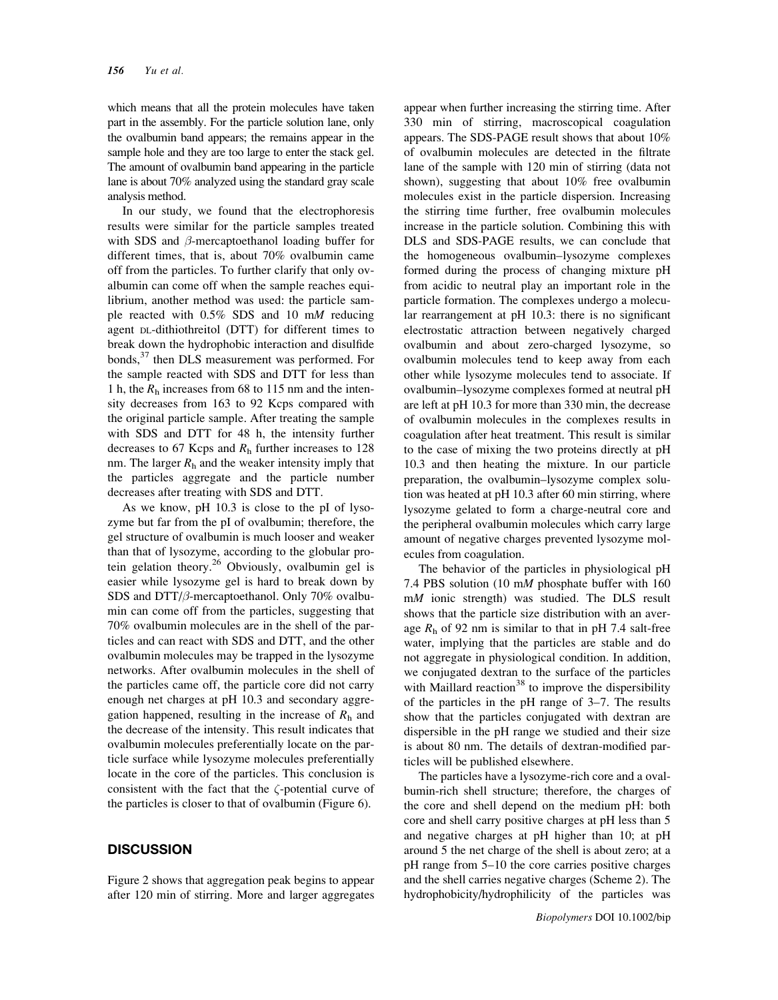which means that all the protein molecules have taken part in the assembly. For the particle solution lane, only the ovalbumin band appears; the remains appear in the sample hole and they are too large to enter the stack gel. The amount of ovalbumin band appearing in the particle lane is about 70% analyzed using the standard gray scale analysis method.

In our study, we found that the electrophoresis results were similar for the particle samples treated with SDS and  $\beta$ -mercaptoethanol loading buffer for different times, that is, about 70% ovalbumin came off from the particles. To further clarify that only ovalbumin can come off when the sample reaches equilibrium, another method was used: the particle sample reacted with 0.5% SDS and 10 mM reducing agent DL-dithiothreitol (DTT) for different times to break down the hydrophobic interaction and disulfide bonds,<sup>37</sup> then DLS measurement was performed. For the sample reacted with SDS and DTT for less than 1 h, the  $R_h$  increases from 68 to 115 nm and the intensity decreases from 163 to 92 Kcps compared with the original particle sample. After treating the sample with SDS and DTT for 48 h, the intensity further decreases to 67 Kcps and  $R<sub>h</sub>$  further increases to 128 nm. The larger  $R_h$  and the weaker intensity imply that the particles aggregate and the particle number decreases after treating with SDS and DTT.

As we know, pH 10.3 is close to the pI of lysozyme but far from the pI of ovalbumin; therefore, the gel structure of ovalbumin is much looser and weaker than that of lysozyme, according to the globular protein gelation theory.26 Obviously, ovalbumin gel is easier while lysozyme gel is hard to break down by SDS and DTT/ $\beta$ -mercaptoethanol. Only 70% ovalbumin can come off from the particles, suggesting that 70% ovalbumin molecules are in the shell of the particles and can react with SDS and DTT, and the other ovalbumin molecules may be trapped in the lysozyme networks. After ovalbumin molecules in the shell of the particles came off, the particle core did not carry enough net charges at pH 10.3 and secondary aggregation happened, resulting in the increase of  $R<sub>h</sub>$  and the decrease of the intensity. This result indicates that ovalbumin molecules preferentially locate on the particle surface while lysozyme molecules preferentially locate in the core of the particles. This conclusion is consistent with the fact that the  $\zeta$ -potential curve of the particles is closer to that of ovalbumin (Figure 6).

#### **DISCUSSION**

Figure 2 shows that aggregation peak begins to appear after 120 min of stirring. More and larger aggregates

appear when further increasing the stirring time. After 330 min of stirring, macroscopical coagulation appears. The SDS-PAGE result shows that about 10% of ovalbumin molecules are detected in the filtrate lane of the sample with 120 min of stirring (data not shown), suggesting that about 10% free ovalbumin molecules exist in the particle dispersion. Increasing the stirring time further, free ovalbumin molecules increase in the particle solution. Combining this with DLS and SDS-PAGE results, we can conclude that the homogeneous ovalbumin–lysozyme complexes formed during the process of changing mixture pH from acidic to neutral play an important role in the particle formation. The complexes undergo a molecular rearrangement at pH 10.3: there is no significant electrostatic attraction between negatively charged ovalbumin and about zero-charged lysozyme, so ovalbumin molecules tend to keep away from each other while lysozyme molecules tend to associate. If ovalbumin–lysozyme complexes formed at neutral pH are left at pH 10.3 for more than 330 min, the decrease of ovalbumin molecules in the complexes results in coagulation after heat treatment. This result is similar to the case of mixing the two proteins directly at pH 10.3 and then heating the mixture. In our particle preparation, the ovalbumin–lysozyme complex solution was heated at pH 10.3 after 60 min stirring, where lysozyme gelated to form a charge-neutral core and the peripheral ovalbumin molecules which carry large amount of negative charges prevented lysozyme molecules from coagulation.

The behavior of the particles in physiological pH 7.4 PBS solution (10 mM phosphate buffer with 160 mM ionic strength) was studied. The DLS result shows that the particle size distribution with an average  $R_h$  of 92 nm is similar to that in pH 7.4 salt-free water, implying that the particles are stable and do not aggregate in physiological condition. In addition, we conjugated dextran to the surface of the particles with Maillard reaction<sup>38</sup> to improve the dispersibility of the particles in the pH range of 3–7. The results show that the particles conjugated with dextran are dispersible in the pH range we studied and their size is about 80 nm. The details of dextran-modified particles will be published elsewhere.

The particles have a lysozyme-rich core and a ovalbumin-rich shell structure; therefore, the charges of the core and shell depend on the medium pH: both core and shell carry positive charges at pH less than 5 and negative charges at pH higher than 10; at pH around 5 the net charge of the shell is about zero; at a pH range from 5–10 the core carries positive charges and the shell carries negative charges (Scheme 2). The hydrophobicity/hydrophilicity of the particles was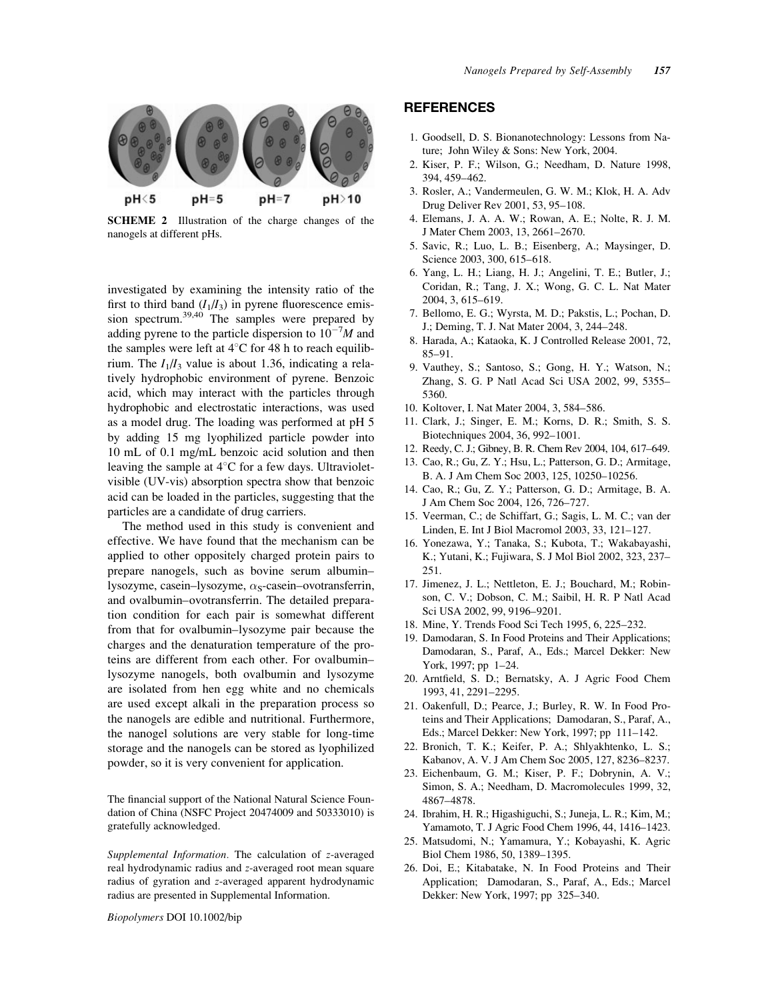

SCHEME 2 Illustration of the charge changes of the nanogels at different pHs.

investigated by examining the intensity ratio of the first to third band  $(I_1/I_3)$  in pyrene fluorescence emission spectrum.<sup>39,40</sup> The samples were prepared by adding pyrene to the particle dispersion to  $10^{-7}M$  and the samples were left at  $4^{\circ}$ C for 48 h to reach equilibrium. The  $I_1/I_3$  value is about 1.36, indicating a relatively hydrophobic environment of pyrene. Benzoic acid, which may interact with the particles through hydrophobic and electrostatic interactions, was used as a model drug. The loading was performed at pH 5 by adding 15 mg lyophilized particle powder into 10 mL of 0.1 mg/mL benzoic acid solution and then leaving the sample at  $4^{\circ}$ C for a few days. Ultravioletvisible (UV-vis) absorption spectra show that benzoic acid can be loaded in the particles, suggesting that the particles are a candidate of drug carriers.

The method used in this study is convenient and effective. We have found that the mechanism can be applied to other oppositely charged protein pairs to prepare nanogels, such as bovine serum albumin– lysozyme, casein–lysozyme,  $\alpha_s$ -casein–ovotransferrin, and ovalbumin–ovotransferrin. The detailed preparation condition for each pair is somewhat different from that for ovalbumin–lysozyme pair because the charges and the denaturation temperature of the proteins are different from each other. For ovalbumin– lysozyme nanogels, both ovalbumin and lysozyme are isolated from hen egg white and no chemicals are used except alkali in the preparation process so the nanogels are edible and nutritional. Furthermore, the nanogel solutions are very stable for long-time storage and the nanogels can be stored as lyophilized powder, so it is very convenient for application.

The financial support of the National Natural Science Foundation of China (NSFC Project 20474009 and 50333010) is gratefully acknowledged.

Supplemental Information. The calculation of z-averaged real hydrodynamic radius and z-averaged root mean square radius of gyration and z-averaged apparent hydrodynamic radius are presented in Supplemental Information.

Biopolymers DOI 10.1002/bip

#### REFERENCES

- 1. Goodsell, D. S. Bionanotechnology: Lessons from Nature; John Wiley & Sons: New York, 2004.
- 2. Kiser, P. F.; Wilson, G.; Needham, D. Nature 1998, 394, 459–462.
- 3. Rosler, A.; Vandermeulen, G. W. M.; Klok, H. A. Adv Drug Deliver Rev 2001, 53, 95–108.
- 4. Elemans, J. A. A. W.; Rowan, A. E.; Nolte, R. J. M. J Mater Chem 2003, 13, 2661–2670.
- 5. Savic, R.; Luo, L. B.; Eisenberg, A.; Maysinger, D. Science 2003, 300, 615–618.
- 6. Yang, L. H.; Liang, H. J.; Angelini, T. E.; Butler, J.; Coridan, R.; Tang, J. X.; Wong, G. C. L. Nat Mater 2004, 3, 615–619.
- 7. Bellomo, E. G.; Wyrsta, M. D.; Pakstis, L.; Pochan, D. J.; Deming, T. J. Nat Mater 2004, 3, 244–248.
- 8. Harada, A.; Kataoka, K. J Controlled Release 2001, 72, 85–91.
- 9. Vauthey, S.; Santoso, S.; Gong, H. Y.; Watson, N.; Zhang, S. G. P Natl Acad Sci USA 2002, 99, 5355– 5360.
- 10. Koltover, I. Nat Mater 2004, 3, 584–586.
- 11. Clark, J.; Singer, E. M.; Korns, D. R.; Smith, S. S. Biotechniques 2004, 36, 992–1001.
- 12. Reedy, C. J.; Gibney, B. R. Chem Rev 2004, 104, 617–649.
- 13. Cao, R.; Gu, Z. Y.; Hsu, L.; Patterson, G. D.; Armitage, B. A. J Am Chem Soc 2003, 125, 10250–10256.
- 14. Cao, R.; Gu, Z. Y.; Patterson, G. D.; Armitage, B. A. J Am Chem Soc 2004, 126, 726–727.
- 15. Veerman, C.; de Schiffart, G.; Sagis, L. M. C.; van der Linden, E. Int J Biol Macromol 2003, 33, 121–127.
- 16. Yonezawa, Y.; Tanaka, S.; Kubota, T.; Wakabayashi, K.; Yutani, K.; Fujiwara, S. J Mol Biol 2002, 323, 237– 251.
- 17. Jimenez, J. L.; Nettleton, E. J.; Bouchard, M.; Robinson, C. V.; Dobson, C. M.; Saibil, H. R. P Natl Acad Sci USA 2002, 99, 9196–9201.
- 18. Mine, Y. Trends Food Sci Tech 1995, 6, 225–232.
- 19. Damodaran, S. In Food Proteins and Their Applications; Damodaran, S., Paraf, A., Eds.; Marcel Dekker: New York, 1997; pp 1–24.
- 20. Arntfield, S. D.; Bernatsky, A. J Agric Food Chem 1993, 41, 2291–2295.
- 21. Oakenfull, D.; Pearce, J.; Burley, R. W. In Food Proteins and Their Applications; Damodaran, S., Paraf, A., Eds.; Marcel Dekker: New York, 1997; pp 111–142.
- 22. Bronich, T. K.; Keifer, P. A.; Shlyakhtenko, L. S.; Kabanov, A. V. J Am Chem Soc 2005, 127, 8236–8237.
- 23. Eichenbaum, G. M.; Kiser, P. F.; Dobrynin, A. V.; Simon, S. A.; Needham, D. Macromolecules 1999, 32, 4867–4878.
- 24. Ibrahim, H. R.; Higashiguchi, S.; Juneja, L. R.; Kim, M.; Yamamoto, T. J Agric Food Chem 1996, 44, 1416–1423.
- 25. Matsudomi, N.; Yamamura, Y.; Kobayashi, K. Agric Biol Chem 1986, 50, 1389–1395.
- 26. Doi, E.; Kitabatake, N. In Food Proteins and Their Application; Damodaran, S., Paraf, A., Eds.; Marcel Dekker: New York, 1997; pp 325–340.